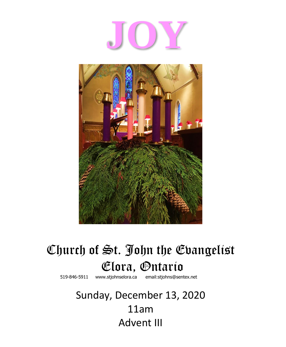# **JOY**



## Church of St. John the Evangelist **Clora, Ontario**<br> **Elora, Ontario**<br> **Elora email:stjohns@sentex.net**

519-846-5911 www.stjohnselora.ca

Sunday, December 13, 2020 11am Advent III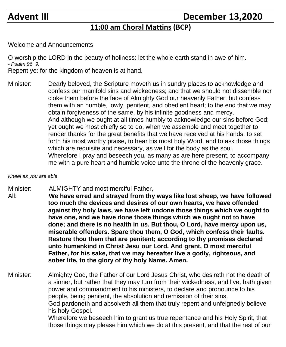### **Advent III December 13,2020**

#### **11:00 am Choral Mattins (BCP)**

Welcome and Announcements

O worship the LORD in the beauty of holiness: let the whole earth stand in awe of him. *- Psalm 96. 9.*

Repent ye: for the kingdom of heaven is at hand.

Minister: Dearly beloved, the Scripture moveth us in sundry places to acknowledge and confess our manifold sins and wickedness; and that we should not dissemble nor cloke them before the face of Almighty God our heavenly Father; but confess them with an humble, lowly, penitent, and obedient heart; to the end that we may obtain forgiveness of the same, by his infinite goodness and mercy. And although we ought at all times humbly to acknowledge our sins before God; yet ought we most chiefly so to do, when we assemble and meet together to render thanks for the great benefits that we have received at his hands, to set forth his most worthy praise, to hear his most holy Word, and to ask those things which are requisite and necessary, as well for the body as the soul. Wherefore I pray and beseech you, as many as are here present, to accompany me with a pure heart and humble voice unto the throne of the heavenly grace.

*Kneel as you are able.*

Minister: ALMIGHTY and most merciful Father,

All: **We have erred and strayed from thy ways like lost sheep, we have followed too much the devices and desires of our own hearts, we have offended against thy holy laws, we have left undone those things which we ought to have one, and we have done those things which we ought not to have done; and there is no health in us. But thou, O Lord, have mercy upon us, miserable offenders. Spare thou them, O God, which confess their faults. Restore thou them that are penitent; according to thy promises declared unto humankind in Christ Jesu our Lord. And grant, O most merciful Father, for his sake, that we may hereafter live a godly, righteous, and sober life, to the glory of thy holy Name. Amen.**

Minister: Almighty God, the Father of our Lord Jesus Christ, who desireth not the death of a sinner, but rather that they may turn from their wickedness, and live, hath given power and commandment to his ministers, to declare and pronounce to his people, being penitent, the absolution and remission of their sins. God pardoneth and absolveth all them that truly repent and unfeignedly believe his holy Gospel. Wherefore we beseech him to grant us true repentance and his Holy Spirit, that those things may please him which we do at this present, and that the rest of our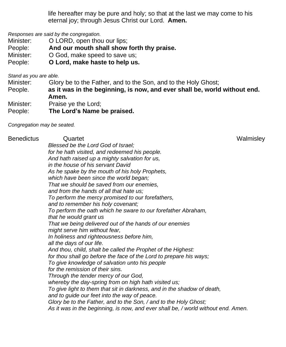life hereafter may be pure and holy; so that at the last we may come to his eternal joy; through Jesus Christ our Lord. **Amen.**

*Responses are said by the congregation.*

- Minister: **O LORD**, open thou our lips;
- People: **And our mouth shall show forth thy praise.**
- Minister: O God, make speed to save us;
- People: **O Lord, make haste to help us.**

*Stand as you are able.*

Minister: Glory be to the Father, and to the Son, and to the Holy Ghost;

- People. **as it was in the beginning, is now, and ever shall be, world without end. Amen.**
- Minister: Praise ye the Lord;
- People: **The Lord's Name be praised.**

*Congregation may be seated.*

| Benedictus | Quartet                                                                           | Walmisley |
|------------|-----------------------------------------------------------------------------------|-----------|
|            | Blessed be the Lord God of Israel;                                                |           |
|            | for he hath visited, and redeemed his people.                                     |           |
|            | And hath raised up a mighty salvation for us,                                     |           |
|            | in the house of his servant David                                                 |           |
|            | As he spake by the mouth of his holy Prophets,                                    |           |
|            | which have been since the world began;                                            |           |
|            | That we should be saved from our enemies,                                         |           |
|            | and from the hands of all that hate us;                                           |           |
|            | To perform the mercy promised to our forefathers,                                 |           |
|            | and to remember his holy covenant;                                                |           |
|            | To perform the oath which he sware to our forefather Abraham,                     |           |
|            | that he would grant us                                                            |           |
|            | That we being delivered out of the hands of our enemies                           |           |
|            | might serve him without fear,                                                     |           |
|            | In holiness and righteousness before him,                                         |           |
|            | all the days of our life.                                                         |           |
|            | And thou, child, shalt be called the Prophet of the Highest:                      |           |
|            | for thou shall go before the face of the Lord to prepare his ways;                |           |
|            | To give knowledge of salvation unto his people                                    |           |
|            | for the remission of their sins.                                                  |           |
|            | Through the tender mercy of our God,                                              |           |
|            | whereby the day-spring from on high hath visited us;                              |           |
|            | To give light to them that sit in darkness, and in the shadow of death,           |           |
|            | and to guide our feet into the way of peace.                                      |           |
|            | Glory be to the Father, and to the Son, / and to the Holy Ghost;                  |           |
|            | As it was in the beginning, is now, and ever shall be, / world without end. Amen. |           |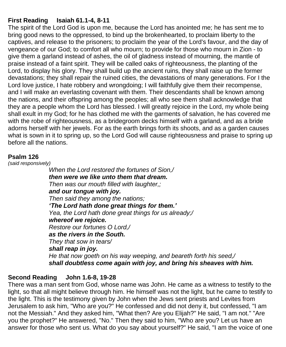#### **First Reading Isaiah 61.1-4, 8-11**

The spirit of the Lord God is upon me, because the Lord has anointed me; he has sent me to bring good news to the oppressed, to bind up the brokenhearted, to proclaim liberty to the captives, and release to the prisoners; to proclaim the year of the Lord's favour, and the day of vengeance of our God; to comfort all who mourn; to provide for those who mourn in Zion - to give them a garland instead of ashes, the oil of gladness instead of mourning, the mantle of praise instead of a faint spirit. They will be called oaks of righteousness, the planting of the Lord, to display his glory. They shall build up the ancient ruins, they shall raise up the former devastations; they shall repair the ruined cities, the devastations of many generations. For I the Lord love justice, I hate robbery and wrongdoing; I will faithfully give them their recompense, and I will make an everlasting covenant with them. Their descendants shall be known among the nations, and their offspring among the peoples; all who see them shall acknowledge that they are a people whom the Lord has blessed. I will greatly rejoice in the Lord, my whole being shall exult in my God; for he has clothed me with the garments of salvation, he has covered me with the robe of righteousness, as a bridegroom decks himself with a garland, and as a bride adorns herself with her jewels. For as the earth brings forth its shoots, and as a garden causes what is sown in it to spring up, so the Lord God will cause righteousness and praise to spring up before all the nations.

#### **Psalm 126**

*(said responsively)*

*When the Lord restored the fortunes of Sion,/ then were we like unto them that dream. Then was our mouth filled with laughter,; and our tongue with joy. Then said they among the nations; 'The Lord hath done great things for them.' Yea, the Lord hath done great things for us already;/ whereof we rejoice. Restore our fortunes O Lord,/ as the rivers in the South. They that sow in tears/ shall reap in joy. He that now goeth on his way weeping, and beareth forth his seed,/ shall doubtless come again with joy, and bring his sheaves with him.*

#### **Second Reading John 1.6-8, 19-28**

There was a man sent from God, whose name was John. He came as a witness to testify to the light, so that all might believe through him. He himself was not the light, but he came to testify to the light. This is the testimony given by John when the Jews sent priests and Levites from Jerusalem to ask him, "Who are you?" He confessed and did not deny it, but confessed, "I am not the Messiah." And they asked him, "What then? Are you Elijah?" He said, "I am not." "Are you the prophet?" He answered, "No." Then they said to him, "Who are you? Let us have an answer for those who sent us. What do you say about yourself?" He said, "I am the voice of one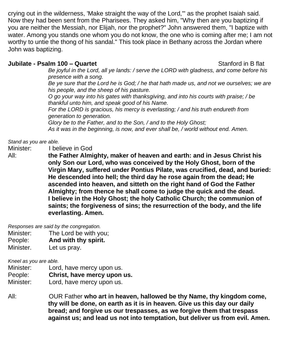crying out in the wilderness, 'Make straight the way of the Lord,'" as the prophet Isaiah said. Now they had been sent from the Pharisees. They asked him, "Why then are you baptizing if you are neither the Messiah, nor Elijah, nor the prophet?" John answered them, "I baptize with water. Among you stands one whom you do not know, the one who is coming after me; I am not worthy to untie the thong of his sandal." This took place in Bethany across the Jordan where John was baptizing.

#### **Jubilate - Psalm 100 – Quartet <b>Constant Constant Constant Constant Constant Constant Constant Constant Constant Constant Constant Constant Constant Constant Constant Constant Constant Constant Constant Constant Constant**

*Be joyful in the Lord, all ye lands: / serve the LORD with gladness, and come before his presence with a song.*

Be ye sure that the Lord he is God; / he that hath made us, and not we ourselves; we are *his people, and the sheep of his pasture.*

*O go your way into his gates with thanksgiving, and into his courts with praise; / be thankful unto him, and speak good of his Name.*

*For the LORD is gracious, his mercy is everlasting; / and his truth endureth from generation to generation.*

*Glory be to the Father, and to the Son, / and to the Holy Ghost; As it was in the beginning, is now, and ever shall be, / world without end. Amen.*

*Stand as you are able.*

Minister: I believe in God

All: **the Father Almighty, maker of heaven and earth: and in Jesus Christ his only Son our Lord, who was conceived by the Holy Ghost, born of the Virgin Mary, suffered under Pontius Pilate, was crucified, dead, and buried: He descended into hell; the third day he rose again from the dead; He ascended into heaven, and sitteth on the right hand of God the Father Almighty; from thence he shall come to judge the quick and the dead. I believe in the Holy Ghost; the holy Catholic Church; the communion of saints; the forgiveness of sins; the resurrection of the body, and the life everlasting. Amen.**

*Responses are said by the congregation.*

- Minister: The Lord be with you;
- People: **And with thy spirit.**
- Minister. Let us pray.

*Kneel as you are able.*

- Minister: Lord, have mercy upon us. People: **Christ, have mercy upon us.** Minister: Lord, have mercy upon us.
- All: OUR Father **who art in heaven, hallowed be thy Name, thy kingdom come, thy will be done, on earth as it is in heaven. Give us this day our daily bread; and forgive us our trespasses, as we forgive them that trespass against us; and lead us not into temptation, but deliver us from evil. Amen.**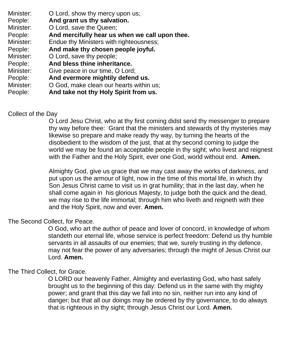Minister: **O** Lord, show thy mercy upon us;

People: **And grant us thy salvation.**

Minister: O Lord, save the Queen;

People: **And mercifully hear us when we call upon thee.**

Minister: Endue thy Ministers with righteousness;

People: **And make thy chosen people joyful.**

Minister: O Lord, save thy people;

People: **And bless thine inheritance.**

Minister: Give peace in our time, O Lord;

People: **And evermore mightily defend us.**

Minister: O God, make clean our hearts within us;

People: **And take not thy Holy Spirit from us.**

#### Collect of the Day

O Lord Jesu Christ, who at thy first coming didst send thy messenger to prepare thy way before thee: Grant that the ministers and stewards of thy mysteries may likewise so prepare and make ready thy way, by turning the hearts of the disobedient to the wisdom of the just, that at thy second coming to judge the world we may be found an acceptable people in thy sight; who livest and reignest with the Father and the Holy Spirit, ever one God, world without end. **Amen.**

Almighty God, give us grace that we may cast away the works of darkness, and put upon us the armour of light, now in the time of this mortal life, in which thy Son Jesus Christ came to visit us in grat humility; that in the last day, when he shall come again in his glorious Majesty, to judge both the quick and the dead, we may rise to the life immortal; through him who liveth and reigneth with thee and the Holy Spirit, now and ever. **Amen.**

#### The Second Collect, for Peace.

O God, who art the author of peace and lover of concord, in knowledge of whom standeth our eternal life, whose service is perfect freedom: Defend us thy humble servants in all assaults of our enemies; that we, surely trusting in thy defence, may not fear the power of any adversaries; through the might of Jesus Christ our Lord. **Amen.**

#### The Third Collect, for Grace.

O LORD our heavenly Father, Almighty and everlasting God, who hast safely brought us to the beginning of this day: Defend us in the same with thy mighty power; and grant that this day we fall into no sin, neither run into any kind of danger; but that all our doings may be ordered by thy governance, to do always that is righteous in thy sight; through Jesus Christ our Lord. **Amen.**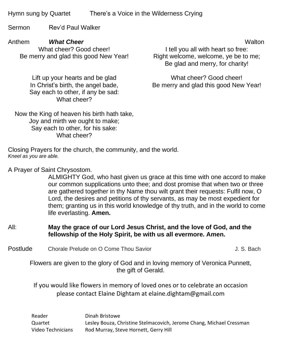Hymn sung by Quartet There's a Voice in the Wilderness Crying

Sermon Rev'd Paul Walker

Anthem **What Cheer What Cheer What Cheer Walton Walton** What cheer? Good cheer! Be merry and glad this good New Year!

Lift up your hearts and be glad In Christ's birth, the angel bade, Say each to other, if any be sad: What cheer?

I tell you all with heart so free: Right welcome, welcome, ye be to me; Be glad and merry, for charity!

What cheer? Good cheer! Be merry and glad this good New Year!

Now the King of heaven his birth hath take, Joy and mirth we ought to make; Say each to other, for his sake: What cheer?

Closing Prayers for the church, the community, and the world. *Kneel as you are able.*

A Prayer of Saint Chrysostom.

ALMIGHTY God, who hast given us grace at this time with one accord to make our common supplications unto thee; and dost promise that when two or three are gathered together in thy Name thou wilt grant their requests: Fulfil now, O Lord, the desires and petitions of thy servants, as may be most expedient for them; granting us in this world knowledge of thy truth, and in the world to come life everlasting. **Amen.**

#### All: **May the grace of our Lord Jesus Christ, and the love of God, and the fellowship of the Holy Spirit, be with us all evermore. Amen.**

Postlude Chorale Prelude on O Come Thou Savior Come Thou Savior J. S. Bach

Flowers are given to the glory of God and in loving memory of Veronica Punnett, the gift of Gerald.

If you would like flowers in memory of loved ones or to celebrate an occasion please contact Elaine Dightam at elaine.dightam@gmail.com

Reader **Dinah Bristowe** Quartet Lesley Bouza, Christine Stelmacovich, Jerome Chang, Michael Cressman Video Technicians Rod Murray, Steve Hornett, Gerry Hill